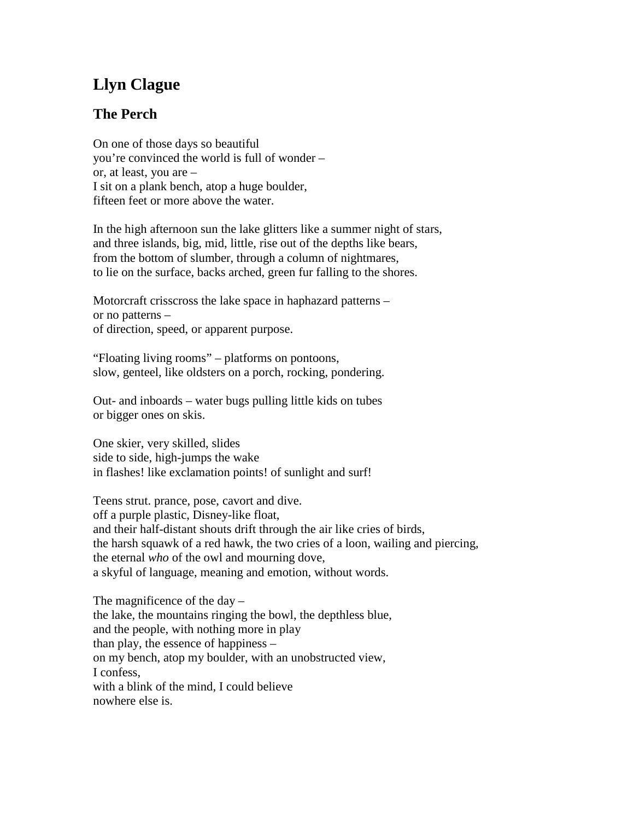## **Llyn Clague**

## **The Perch**

On one of those days so beautiful you're convinced the world is full of wonder – or, at least, you are – I sit on a plank bench, atop a huge boulder, fifteen feet or more above the water.

In the high afternoon sun the lake glitters like a summer night of stars, and three islands, big, mid, little, rise out of the depths like bears, from the bottom of slumber, through a column of nightmares, to lie on the surface, backs arched, green fur falling to the shores.

Motorcraft crisscross the lake space in haphazard patterns – or no patterns – of direction, speed, or apparent purpose.

"Floating living rooms" – platforms on pontoons, slow, genteel, like oldsters on a porch, rocking, pondering.

Out- and inboards – water bugs pulling little kids on tubes or bigger ones on skis.

One skier, very skilled, slides side to side, high-jumps the wake in flashes! like exclamation points! of sunlight and surf!

Teens strut. prance, pose, cavort and dive. off a purple plastic, Disney-like float, and their half-distant shouts drift through the air like cries of birds, the harsh squawk of a red hawk, the two cries of a loon, wailing and piercing, the eternal *who* of the owl and mourning dove, a skyful of language, meaning and emotion, without words.

The magnificence of the day  $$ the lake, the mountains ringing the bowl, the depthless blue, and the people, with nothing more in play than play, the essence of happiness – on my bench, atop my boulder, with an unobstructed view, I confess, with a blink of the mind. I could believe nowhere else is.